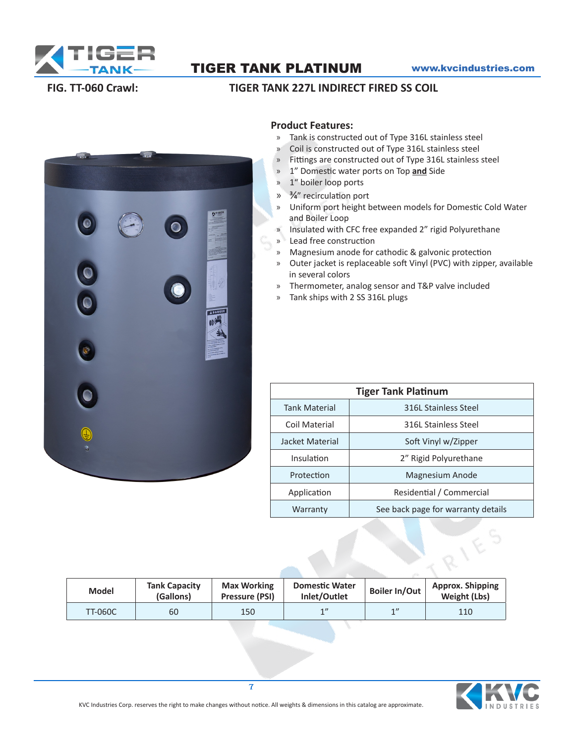

TIGER TANK PLATINUM www.kvcindustries.com

# **EXTIGE** ADANGER HOL

## **FIG. TT-060 Crawl: TIGER TANK 227L INDIRECT FIRED SS COIL**

### **Product Features:**

- » Tank is constructed out of Type 316L stainless steel
- » Coil is constructed out of Type 316L stainless steel
- » Fittings are constructed out of Type 316L stainless steel
- » 1" Domestic water ports on Top **and** Side
- » 1" boiler loop ports
- » 3/4" recirculation port
- » Uniform port height between models for Domestic Cold Water and Boiler Loop
- » Insulated with CFC free expanded 2" rigid Polyurethane
- » Lead free construction
- » Magnesium anode for cathodic & galvonic protection
- » Outer jacket is replaceable soft Vinyl (PVC) with zipper, available in several colors
- » Thermometer, analog sensor and T&P valve included
- » Tank ships with 2 SS 316L plugs

| <b>Tiger Tank Platinum</b> |                                    |  |  |  |  |  |  |
|----------------------------|------------------------------------|--|--|--|--|--|--|
| <b>Tank Material</b>       | 316L Stainless Steel               |  |  |  |  |  |  |
| Coil Material              | 316L Stainless Steel               |  |  |  |  |  |  |
| Jacket Material            | Soft Vinyl w/Zipper                |  |  |  |  |  |  |
| Insulation                 | 2" Rigid Polyurethane              |  |  |  |  |  |  |
| Protection                 | Magnesium Anode                    |  |  |  |  |  |  |
| Application                | Residential / Commercial           |  |  |  |  |  |  |
| Warranty                   | See back page for warranty details |  |  |  |  |  |  |

| <b>Model</b>   | <b>Tank Capacity</b><br>(Gallons) | <b>Max Working</b><br>Pressure (PSI) | <b>Domestic Water</b><br>Inlet/Outlet | <b>Boiler In/Out</b> | <b>Approx. Shipping</b><br>Weight (Lbs) |
|----------------|-----------------------------------|--------------------------------------|---------------------------------------|----------------------|-----------------------------------------|
| <b>TT-060C</b> | 60                                | 150                                  | 1''                                   | 1                    | 110                                     |



7